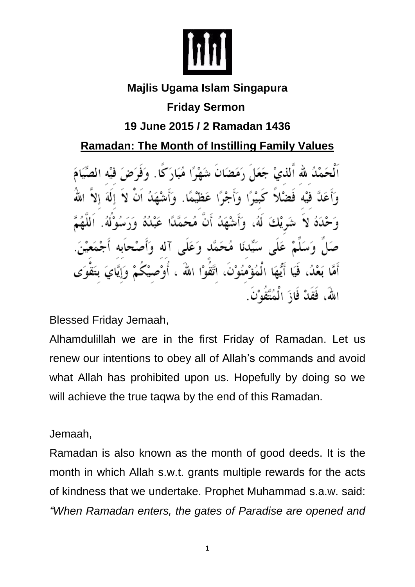

## **Majlis Ugama Islam Singapura Friday Sermon**

## **19 June 2015 / 2 Ramadan 1436**

## **Ramadan: The Month of Instilling Family Values**

ٱلْحَمْدُ لله ٱلذيْ جَعَلَ رَمَضَانَ شَهْرًا مُبَارَكًا. وَفَوَضَ فَيْهِ الصِّيَامَ وَأَعَلَّ فَيْهِ فَضَلاً كَبِيْرًا وَأَجْرًا عَظَيْمًا. وَأَشْهَدُ أَنْ لاَ إِلَهَ إِلاَّ ِّ شَرِيْكَ لَهُ، وَأَشْهَدُ أَنْ مُحَمَّدًا عَبْدُهُ وَ ځَدَهُ لا صَلَّ وَسَلَّمْ عَلَى سَيِّدنَا مُحَمَّدٍ وَعَلَى آله وَأَصْحابِهِ أَجْمَعِيْنَ. أَمَّا بَعْدُ، فَيَا أَيُّهَا الْمُؤْمُنُوْنَ، اتَّقُوْا اللهُ ، أَوْصِيْكُمْ وَإِيَّايَ بِتَقْوَى اللَّهُ، فَقَدْ فَازَ الْمُتَّقَوْنَ.

Blessed Friday Jemaah,

Alhamdulillah we are in the first Friday of Ramadan. Let us renew our intentions to obey all of Allah's commands and avoid what Allah has prohibited upon us. Hopefully by doing so we will achieve the true taqwa by the end of this Ramadan.

Jemaah,

Ramadan is also known as the month of good deeds. It is the month in which Allah s.w.t. grants multiple rewards for the acts of kindness that we undertake. Prophet Muhammad s.a.w. said: *"When Ramadan enters, the gates of Paradise are opened and*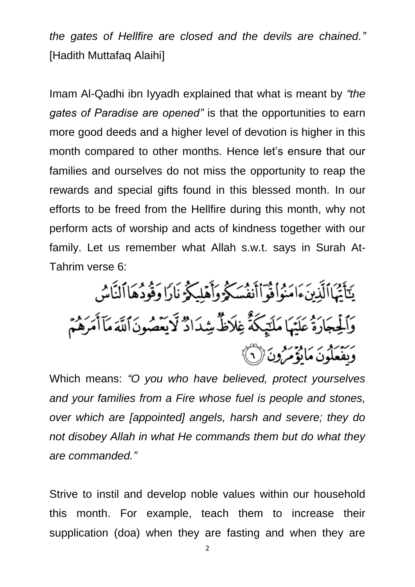*the gates of Hellfire are closed and the devils are chained."* [Hadith Muttafaq Alaihi]

Imam Al-Qadhi ibn Iyyadh explained that what is meant by *"the gates of Paradise are opened"* is that the opportunities to earn more good deeds and a higher level of devotion is higher in this month compared to other months. Hence let's ensure that our families and ourselves do not miss the opportunity to reap the rewards and special gifts found in this blessed month. In our efforts to be freed from the Hellfire during this month, why not perform acts of worship and acts of kindness together with our family. Let us remember what Allah s.w.t. says in Surah At-Tahrim verse 6:

يَتَأَتُهَاالَّذِينَءَامَنُواْفُوَ'أَنفُسَكُوۡ وَأَهۡلِيَكُوۡ نَارَا وَفُودُهَااۤلنَّاسُ وَٱلْجِجَارَةُ عَلَيْهَا مَلَتِيكَةً غِلَاظٌ شِدَادٌ لَّايَعْصُونَ ٱللَّهَ مَآأَمَرَهُمۡمَ رَبَّنَهُمْ وَالْمُؤْمَرُونَ (١)

Which means: *"O you who have believed, protect yourselves and your families from a Fire whose fuel is people and stones, over which are [appointed] angels, harsh and severe; they do not disobey Allah in what He commands them but do what they are commanded."*

Strive to instil and develop noble values within our household this month. For example, teach them to increase their supplication (doa) when they are fasting and when they are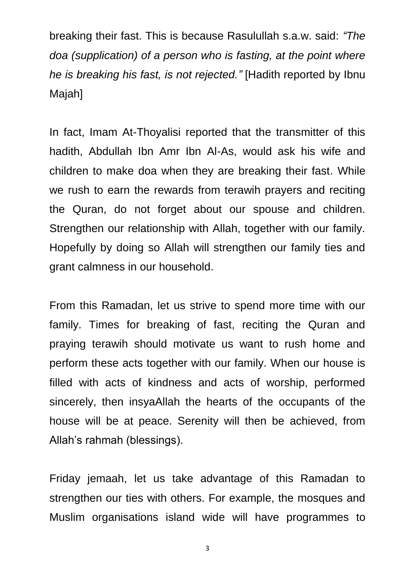breaking their fast. This is because Rasulullah s.a.w. said: *"The doa (supplication) of a person who is fasting, at the point where he is breaking his fast, is not rejected."* [Hadith reported by Ibnu Majah]

In fact, Imam At-Thoyalisi reported that the transmitter of this hadith, Abdullah Ibn Amr Ibn Al-As, would ask his wife and children to make doa when they are breaking their fast. While we rush to earn the rewards from terawih prayers and reciting the Quran, do not forget about our spouse and children. Strengthen our relationship with Allah, together with our family. Hopefully by doing so Allah will strengthen our family ties and grant calmness in our household.

From this Ramadan, let us strive to spend more time with our family. Times for breaking of fast, reciting the Quran and praying terawih should motivate us want to rush home and perform these acts together with our family. When our house is filled with acts of kindness and acts of worship, performed sincerely, then insyaAllah the hearts of the occupants of the house will be at peace. Serenity will then be achieved, from Allah's rahmah (blessings).

Friday jemaah, let us take advantage of this Ramadan to strengthen our ties with others. For example, the mosques and Muslim organisations island wide will have programmes to

3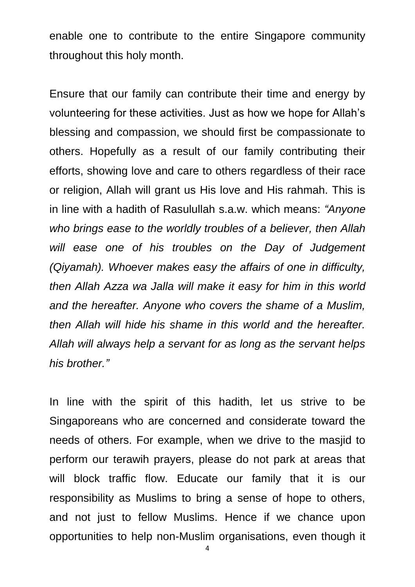enable one to contribute to the entire Singapore community throughout this holy month.

Ensure that our family can contribute their time and energy by volunteering for these activities. Just as how we hope for Allah's blessing and compassion, we should first be compassionate to others. Hopefully as a result of our family contributing their efforts, showing love and care to others regardless of their race or religion, Allah will grant us His love and His rahmah. This is in line with a hadith of Rasulullah s.a.w. which means: *"Anyone who brings ease to the worldly troubles of a believer, then Allah will ease one of his troubles on the Day of Judgement (Qiyamah). Whoever makes easy the affairs of one in difficulty, then Allah Azza wa Jalla will make it easy for him in this world and the hereafter. Anyone who covers the shame of a Muslim, then Allah will hide his shame in this world and the hereafter. Allah will always help a servant for as long as the servant helps his brother."*

In line with the spirit of this hadith, let us strive to be Singaporeans who are concerned and considerate toward the needs of others. For example, when we drive to the masjid to perform our terawih prayers, please do not park at areas that will block traffic flow. Educate our family that it is our responsibility as Muslims to bring a sense of hope to others, and not just to fellow Muslims. Hence if we chance upon opportunities to help non-Muslim organisations, even though it